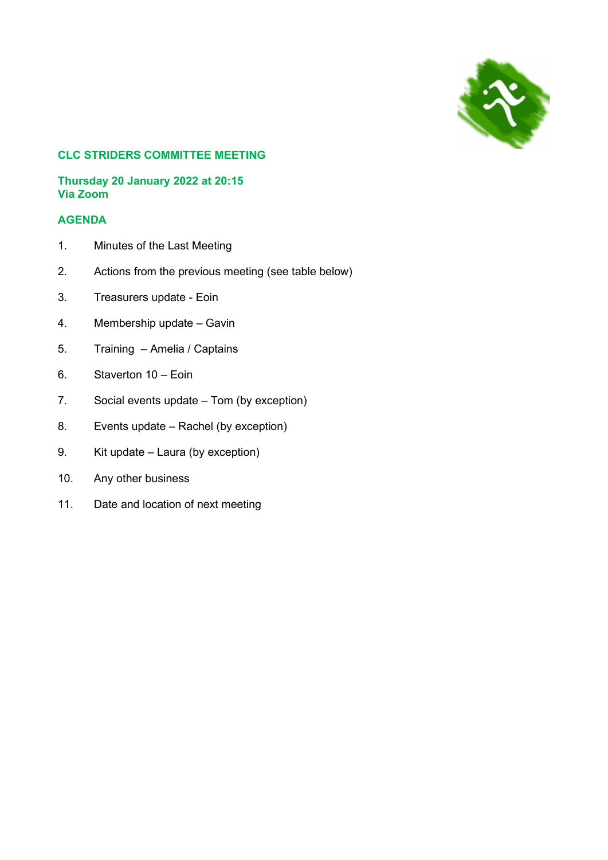

# CLC STRIDERS COMMITTEE MEETING

#### Thursday 20 January 2022 at 20:15 Via Zoom

# AGENDA

- 1. Minutes of the Last Meeting
- 2. Actions from the previous meeting (see table below)
- 3. Treasurers update Eoin
- 4. Membership update Gavin
- 5. Training Amelia / Captains
- 6. Staverton 10 Eoin
- 7. Social events update Tom (by exception)
- 8. Events update Rachel (by exception)
- 9. Kit update Laura (by exception)
- 10. Any other business
- 11. Date and location of next meeting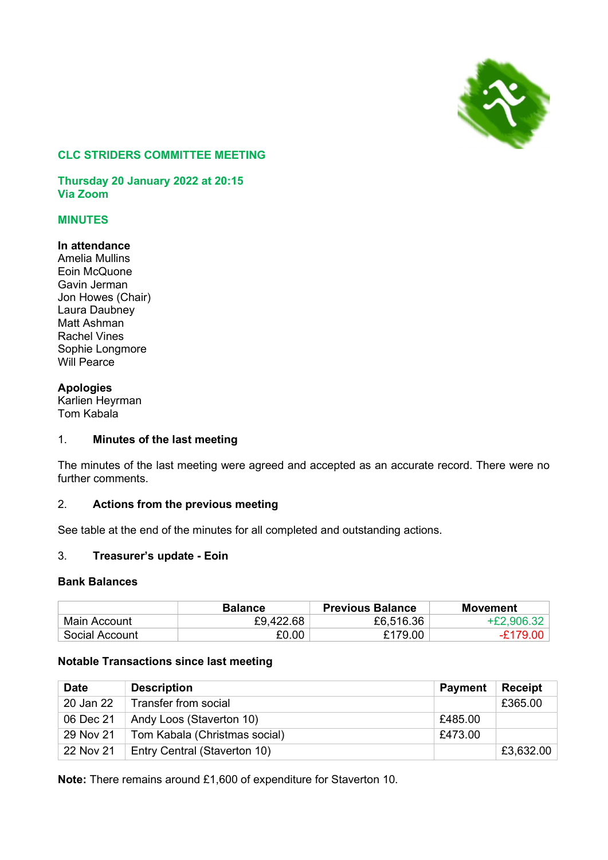

#### CLC STRIDERS COMMITTEE MEETING

Thursday 20 January 2022 at 20:15 Via Zoom

# MINUTES

#### In attendance

Amelia Mullins Eoin McQuone Gavin Jerman Jon Howes (Chair) Laura Daubney Matt Ashman Rachel Vines Sophie Longmore Will Pearce

# Apologies

Karlien Heyrman Tom Kabala

#### 1. Minutes of the last meeting

The minutes of the last meeting were agreed and accepted as an accurate record. There were no further comments.

# 2. Actions from the previous meeting

See table at the end of the minutes for all completed and outstanding actions.

# 3. Treasurer's update - Eoin

#### Bank Balances

|                | <b>Balance</b> | <b>Previous Balance</b> | Movement     |
|----------------|----------------|-------------------------|--------------|
| Main Account   | £9,422.68      | £6,516.36               | $+£2,906.32$ |
| Social Account | £0.00          | £179.00                 | $-E179.00$   |

#### Notable Transactions since last meeting

| <b>Date</b> | <b>Description</b>            | <b>Payment</b> | <b>Receipt</b> |
|-------------|-------------------------------|----------------|----------------|
| 20 Jan 22   | Transfer from social          |                | £365.00        |
| 06 Dec 21   | Andy Loos (Staverton 10)      | £485.00        |                |
| 29 Nov 21   | Tom Kabala (Christmas social) | £473.00        |                |
| 22 Nov 21   | Entry Central (Staverton 10)  |                | £3,632.00      |

Note: There remains around £1,600 of expenditure for Staverton 10.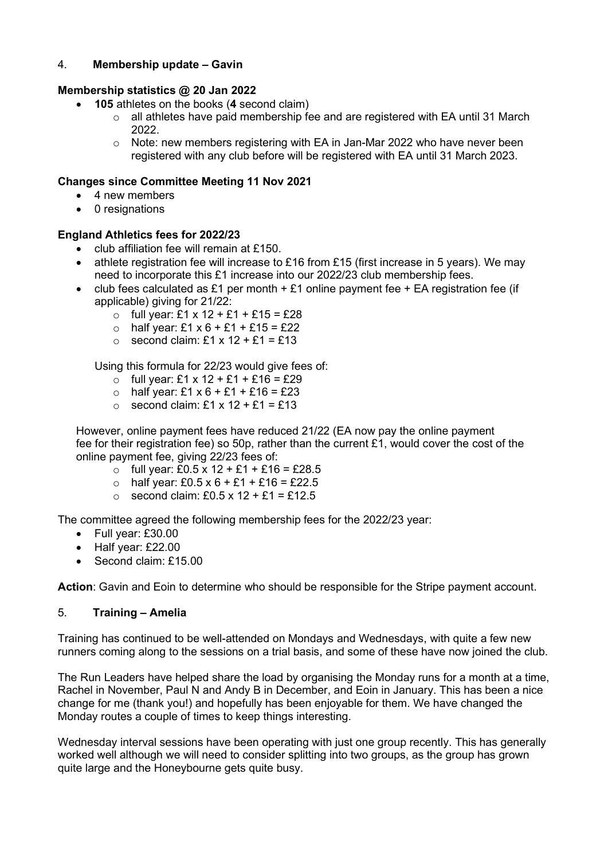# 4. Membership update – Gavin

## Membership statistics @ 20 Jan 2022

- 105 athletes on the books (4 second claim)
	- o all athletes have paid membership fee and are registered with EA until 31 March 2022.
	- o Note: new members registering with EA in Jan-Mar 2022 who have never been registered with any club before will be registered with EA until 31 March 2023.

## Changes since Committee Meeting 11 Nov 2021

- 4 new members
- 0 resignations

## England Athletics fees for 2022/23

- club affiliation fee will remain at £150.
- athlete registration fee will increase to £16 from £15 (first increase in 5 years). We may need to incorporate this £1 increase into our 2022/23 club membership fees.
- club fees calculated as £1 per month  $+$  £1 online payment fee  $+$  EA registration fee (if applicable) giving for 21/22:
	- o full year: £1 x 12 + £1 + £15 = £28
	- $\circ$  half year: £1 x 6 + £1 + £15 = £22
	- $\circ$  second claim: £1 x 12 + £1 = £13

Using this formula for 22/23 would give fees of:

- o full year: £1 x 12 + £1 + £16 = £29
- $\circ$  half year: £1 x 6 + £1 + £16 = £23
- $\circ$  second claim: £1 x 12 + £1 = £13

However, online payment fees have reduced 21/22 (EA now pay the online payment fee for their registration fee) so 50p, rather than the current £1, would cover the cost of the online payment fee, giving 22/23 fees of:

- $\circ$  full year: £0.5 x 12 + £1 + £16 = £28.5
- $\circ$  half year: £0.5 x 6 + £1 + £16 = £22.5
- $\circ$  second claim: £0.5 x 12 + £1 = £12.5

The committee agreed the following membership fees for the 2022/23 year:

- Full year: £30.00
- Half year: £22.00
- Second claim: £15.00

Action: Gavin and Eoin to determine who should be responsible for the Stripe payment account.

#### 5. Training – Amelia

Training has continued to be well-attended on Mondays and Wednesdays, with quite a few new runners coming along to the sessions on a trial basis, and some of these have now joined the club.

The Run Leaders have helped share the load by organising the Monday runs for a month at a time, Rachel in November, Paul N and Andy B in December, and Eoin in January. This has been a nice change for me (thank you!) and hopefully has been enjoyable for them. We have changed the Monday routes a couple of times to keep things interesting.

Wednesday interval sessions have been operating with just one group recently. This has generally worked well although we will need to consider splitting into two groups, as the group has grown quite large and the Honeybourne gets quite busy.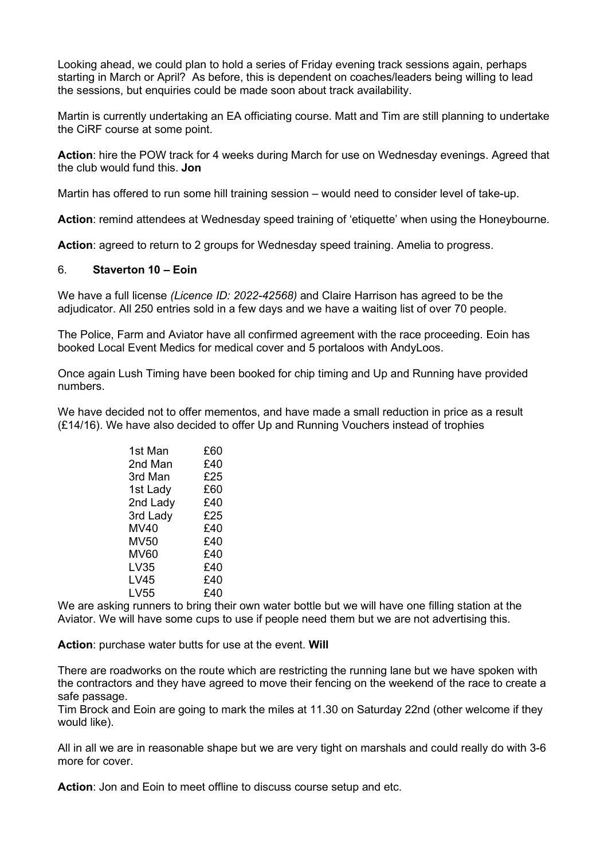Looking ahead, we could plan to hold a series of Friday evening track sessions again, perhaps starting in March or April? As before, this is dependent on coaches/leaders being willing to lead the sessions, but enquiries could be made soon about track availability.

Martin is currently undertaking an EA officiating course. Matt and Tim are still planning to undertake the CiRF course at some point.

Action: hire the POW track for 4 weeks during March for use on Wednesday evenings. Agreed that the club would fund this. Jon

Martin has offered to run some hill training session – would need to consider level of take-up.

Action: remind attendees at Wednesday speed training of 'etiquette' when using the Honeybourne.

Action: agreed to return to 2 groups for Wednesday speed training. Amelia to progress.

#### 6. Staverton 10 – Eoin

We have a full license (Licence ID: 2022-42568) and Claire Harrison has agreed to be the adjudicator. All 250 entries sold in a few days and we have a waiting list of over 70 people.

The Police, Farm and Aviator have all confirmed agreement with the race proceeding. Eoin has booked Local Event Medics for medical cover and 5 portaloos with AndyLoos.

Once again Lush Timing have been booked for chip timing and Up and Running have provided numbers.

We have decided not to offer mementos, and have made a small reduction in price as a result (£14/16). We have also decided to offer Up and Running Vouchers instead of trophies

| 1st Man     | £60 |
|-------------|-----|
| 2nd Man     | £40 |
| 3rd Man     | £25 |
| 1st Lady    | £60 |
| 2nd Lady    | £40 |
| 3rd Lady    | £25 |
| MV40        | £40 |
| <b>MV50</b> | £40 |
| MV60        | £40 |
| LV35        | £40 |
| LV45        | £40 |
| LV55        | £40 |

We are asking runners to bring their own water bottle but we will have one filling station at the Aviator. We will have some cups to use if people need them but we are not advertising this.

Action: purchase water butts for use at the event. Will

There are roadworks on the route which are restricting the running lane but we have spoken with the contractors and they have agreed to move their fencing on the weekend of the race to create a safe passage.

Tim Brock and Eoin are going to mark the miles at 11.30 on Saturday 22nd (other welcome if they would like).

All in all we are in reasonable shape but we are very tight on marshals and could really do with 3-6 more for cover.

Action: Jon and Eoin to meet offline to discuss course setup and etc.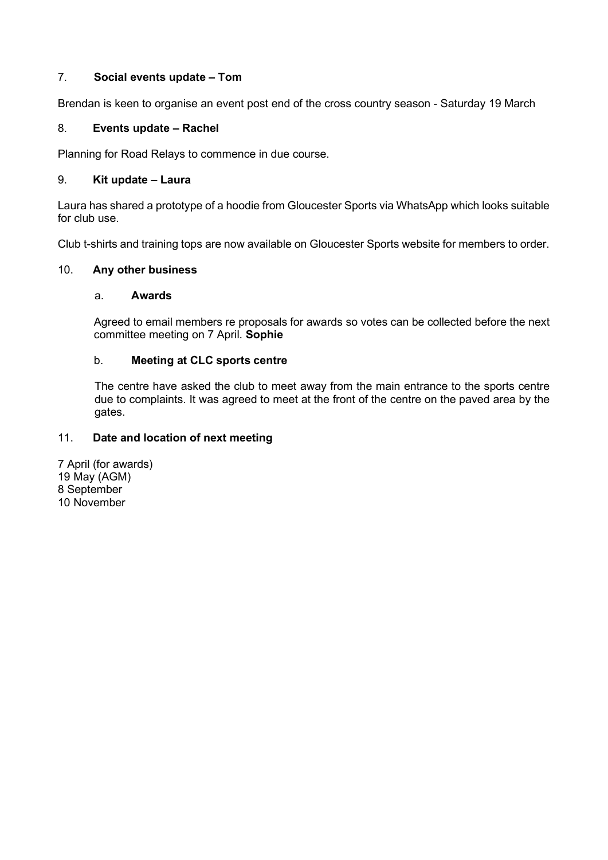# 7. Social events update – Tom

Brendan is keen to organise an event post end of the cross country season - Saturday 19 March

# 8. Events update – Rachel

Planning for Road Relays to commence in due course.

#### 9. Kit update – Laura

Laura has shared a prototype of a hoodie from Gloucester Sports via WhatsApp which looks suitable for club use.

Club t-shirts and training tops are now available on Gloucester Sports website for members to order.

## 10. Any other business

#### a. Awards

Agreed to email members re proposals for awards so votes can be collected before the next committee meeting on 7 April. Sophie

## b. Meeting at CLC sports centre

The centre have asked the club to meet away from the main entrance to the sports centre due to complaints. It was agreed to meet at the front of the centre on the paved area by the gates.

# 11. Date and location of next meeting

7 April (for awards) 19 May (AGM) 8 September 10 November